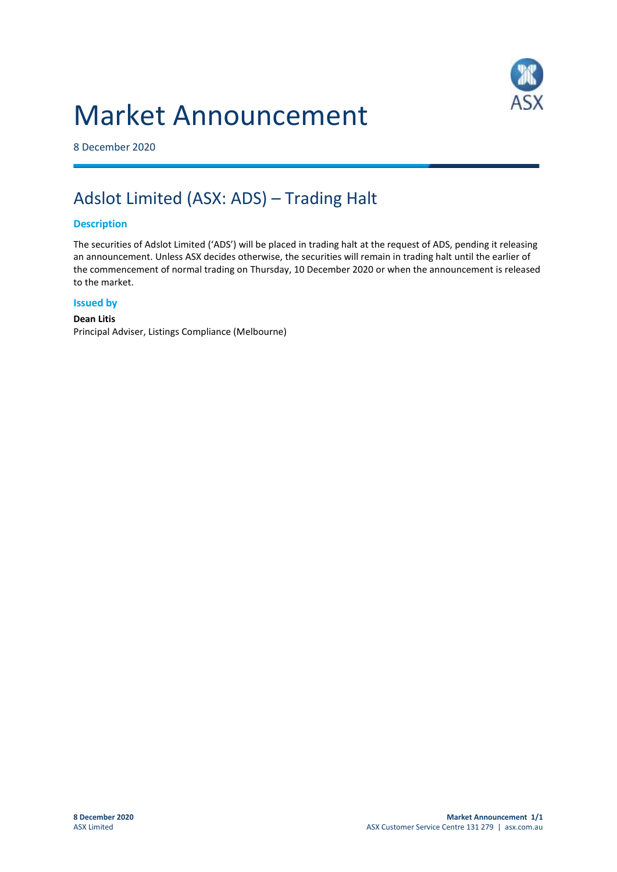## Market Announcement



8 December 2020

### Adslot Limited (ASX: ADS) – Trading Halt

#### **Description**

The securities of Adslot Limited ('ADS') will be placed in trading halt at the request of ADS, pending it releasing an announcement. Unless ASX decides otherwise, the securities will remain in trading halt until the earlier of the commencement of normal trading on Thursday, 10 December 2020 or when the announcement is released to the market.

#### **Issued by**

#### **Dean Litis** Principal Adviser, Listings Compliance (Melbourne)